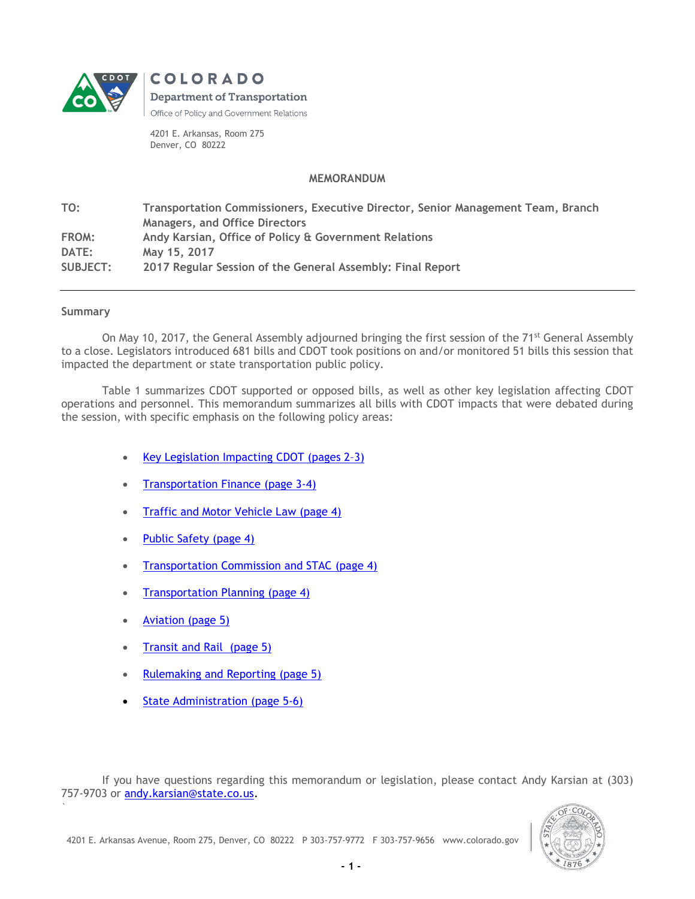

COLORADO **Department of Transportation** Office of Policy and Government Relations

4201 E. Arkansas, Room 275 Denver, CO 80222

## **MEMORANDUM**

**TO: Transportation Commissioners, Executive Director, Senior Management Team, Branch Managers, and Office Directors FROM: Andy Karsian, Office of Policy & Government Relations DATE: May 15, 2017 SUBJECT: 2017 Regular Session of the General Assembly: Final Report**

## **Summary**

`

On May 10, 2017, the General Assembly adjourned bringing the first session of the 71<sup>st</sup> General Assembly to a close. Legislators introduced 681 bills and CDOT took positions on and/or monitored 51 bills this session that impacted the department or state transportation public policy.

Table 1 summarizes CDOT supported or opposed bills, as well as other key legislation affecting CDOT operations and personnel. This memorandum summarizes all bills with CDOT impacts that were debated during the session, with specific emphasis on the following policy areas:

- [Key Legislation Impacting CDOT](#page-1-0) (pages  $2-3$ )
- [Transportation Finance](#page-2-0) (page 3-4)
- [Traffic and Motor Vehicle Law](#page-3-0) (page 4)
- [Public Safety \(page 4\)](#page-3-1)
- **[Transportation Commission and STAC](#page-3-2) (page 4)**
- [Transportation Planning](#page-3-3) (page 4)
- Aviation [\(page 5\)](#page-4-0)
- [Transit and Rail \(page 5\)](#page-4-1)
- [Rulemaking and Reporting \(page 5\)](#page-4-2)
- [State Administration](#page-4-3) (page 5-6)

If you have questions regarding this memorandum or legislation, please contact Andy Karsian at (303) 757-9703 or [andy.karsian@state.co.us.](mailto:andy.karsian@state.co.us)

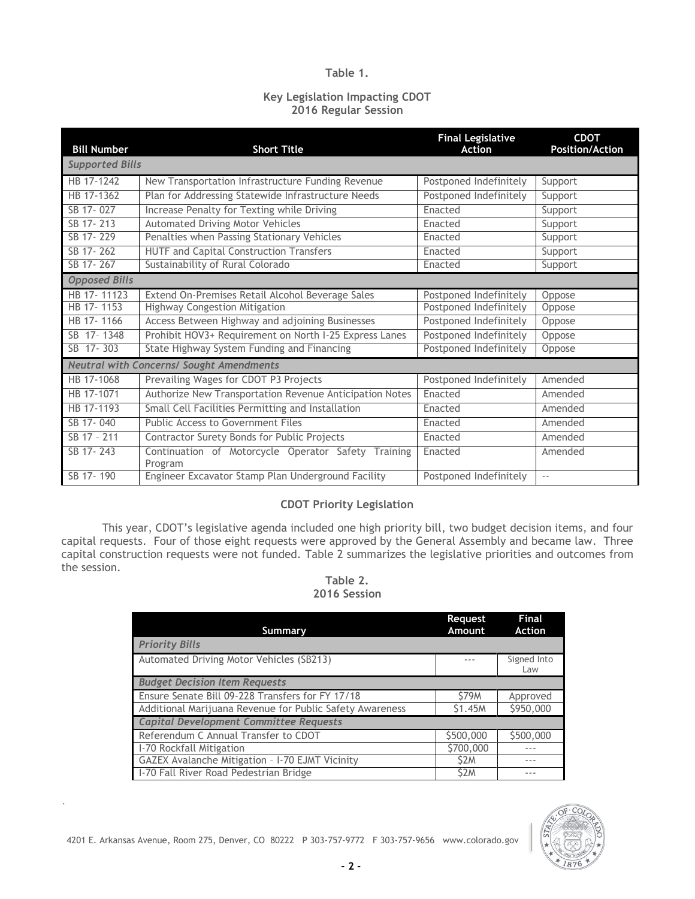## **Table 1.**

## **Key Legislation Impacting CDOT 2016 Regular Session**

<span id="page-1-0"></span>

| <b>Bill Number</b>                              | <b>Short Title</b>                                             | <b>Final Legislative</b><br><b>Action</b> | <b>CDOT</b><br><b>Position/Action</b> |  |
|-------------------------------------------------|----------------------------------------------------------------|-------------------------------------------|---------------------------------------|--|
| <b>Supported Bills</b>                          |                                                                |                                           |                                       |  |
| HB 17-1242                                      | New Transportation Infrastructure Funding Revenue              | Postponed Indefinitely                    | Support                               |  |
| HB 17-1362                                      | Plan for Addressing Statewide Infrastructure Needs             | Postponed Indefinitely                    | Support                               |  |
| SB 17-027                                       | Increase Penalty for Texting while Driving                     | Enacted                                   | Support                               |  |
| SB 17-213                                       | Automated Driving Motor Vehicles                               | Enacted                                   | Support                               |  |
| SB 17-229                                       | Penalties when Passing Stationary Vehicles                     | Enacted                                   | Support                               |  |
| SB 17-262                                       | <b>HUTF and Capital Construction Transfers</b>                 | Enacted                                   | Support                               |  |
| SB 17-267                                       | Sustainability of Rural Colorado                               | Enacted                                   | Support                               |  |
| <b>Opposed Bills</b>                            |                                                                |                                           |                                       |  |
| HB 17-11123                                     | Extend On-Premises Retail Alcohol Beverage Sales               | Postponed Indefinitely                    | Oppose                                |  |
| HB 17-1153                                      | <b>Highway Congestion Mitigation</b>                           | Postponed Indefinitely                    | Oppose                                |  |
| HB 17-1166                                      | Access Between Highway and adjoining Businesses                | Postponed Indefinitely                    | Oppose                                |  |
| SB 17-1348                                      | Prohibit HOV3+ Requirement on North I-25 Express Lanes         | Postponed Indefinitely                    | Oppose                                |  |
| SB 17-303                                       | State Highway System Funding and Financing                     | Postponed Indefinitely                    | Oppose                                |  |
| <b>Neutral with Concerns/ Sought Amendments</b> |                                                                |                                           |                                       |  |
| HB 17-1068                                      | Prevailing Wages for CDOT P3 Projects                          | Postponed Indefinitely                    | Amended                               |  |
| HB 17-1071                                      | Authorize New Transportation Revenue Anticipation Notes        | Enacted                                   | Amended                               |  |
| HB 17-1193                                      | Small Cell Facilities Permitting and Installation              | Enacted                                   | Amended                               |  |
| SB 17-040                                       | Public Access to Government Files                              | Enacted                                   | Amended                               |  |
| SB 17 - 211                                     | Contractor Surety Bonds for Public Projects                    | Enacted                                   | Amended                               |  |
| SB 17-243                                       | Continuation of Motorcycle Operator Safety Training<br>Program | Enacted                                   | Amended                               |  |
| SB 17-190                                       | Engineer Excavator Stamp Plan Underground Facility             | Postponed Indefinitely                    | $\sim$ $-$                            |  |

## **CDOT Priority Legislation**

This year, CDOT's legislative agenda included one high priority bill, two budget decision items, and four capital requests. Four of those eight requests were approved by the General Assembly and became law. Three capital construction requests were not funded. Table 2 summarizes the legislative priorities and outcomes from the session.

## **Table 2. 2016 Session**

| Summary                                                  | Request<br>Amount | <b>Final</b><br><b>Action</b> |
|----------------------------------------------------------|-------------------|-------------------------------|
| <b>Priority Bills</b>                                    |                   |                               |
| Automated Driving Motor Vehicles (SB213)                 |                   | Signed Into<br>Law            |
| <b>Budget Decision Item Requests</b>                     |                   |                               |
| Ensure Senate Bill 09-228 Transfers for FY 17/18         | <b>S79M</b>       | Approved                      |
| Additional Marijuana Revenue for Public Safety Awareness | \$1.45M           | \$950,000                     |
| <b>Capital Development Committee Requests</b>            |                   |                               |
| Referendum C Annual Transfer to CDOT                     | \$500,000         | \$500,000                     |
| I-70 Rockfall Mitigation                                 | \$700,000         |                               |
| GAZEX Avalanche Mitigation - I-70 EJMT Vicinity          | \$2M              |                               |
| I-70 Fall River Road Pedestrian Bridge                   | S <sub>2</sub> M  |                               |

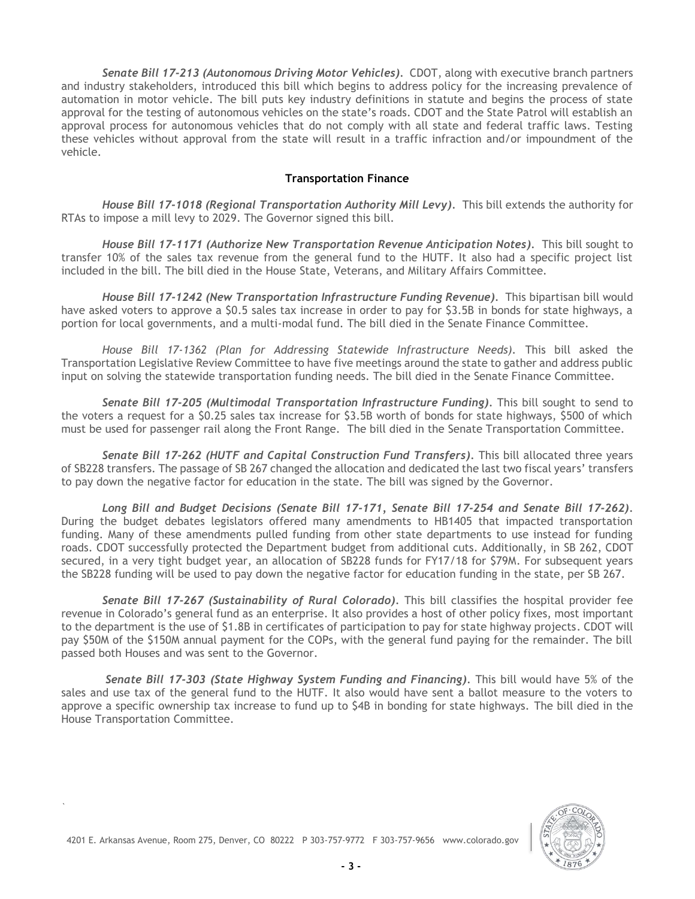*Senate Bill 17-213 (Autonomous Driving Motor Vehicles).* CDOT, along with executive branch partners and industry stakeholders, introduced this bill which begins to address policy for the increasing prevalence of automation in motor vehicle. The bill puts key industry definitions in statute and begins the process of state approval for the testing of autonomous vehicles on the state's roads. CDOT and the State Patrol will establish an approval process for autonomous vehicles that do not comply with all state and federal traffic laws. Testing these vehicles without approval from the state will result in a traffic infraction and/or impoundment of the vehicle.

## **Transportation Finance**

<span id="page-2-0"></span>*House Bill 17-1018 (Regional Transportation Authority Mill Levy).* This bill extends the authority for RTAs to impose a mill levy to 2029. The Governor signed this bill.

*House Bill 17-1171 (Authorize New Transportation Revenue Anticipation Notes).* This bill sought to transfer 10% of the sales tax revenue from the general fund to the HUTF. It also had a specific project list included in the bill. The bill died in the House State, Veterans, and Military Affairs Committee.

*House Bill 17-1242 (New Transportation Infrastructure Funding Revenue).* This bipartisan bill would have asked voters to approve a \$0.5 sales tax increase in order to pay for \$3.5B in bonds for state highways, a portion for local governments, and a multi-modal fund. The bill died in the Senate Finance Committee.

*House Bill 17-1362 (Plan for Addressing Statewide Infrastructure Needs).* This bill asked the Transportation Legislative Review Committee to have five meetings around the state to gather and address public input on solving the statewide transportation funding needs. The bill died in the Senate Finance Committee.

*Senate Bill 17-205 (Multimodal Transportation Infrastructure Funding).* This bill sought to send to the voters a request for a \$0.25 sales tax increase for \$3.5B worth of bonds for state highways, \$500 of which must be used for passenger rail along the Front Range. The bill died in the Senate Transportation Committee.

*Senate Bill 17-262 (HUTF and Capital Construction Fund Transfers).* This bill allocated three years of SB228 transfers. The passage of SB 267 changed the allocation and dedicated the last two fiscal years' transfers to pay down the negative factor for education in the state. The bill was signed by the Governor.

*Long Bill and Budget Decisions (Senate Bill 17-171, Senate Bill 17-254 and Senate Bill 17-262).* During the budget debates legislators offered many amendments to HB1405 that impacted transportation funding. Many of these amendments pulled funding from other state departments to use instead for funding roads. CDOT successfully protected the Department budget from additional cuts. Additionally, in SB 262, CDOT secured, in a very tight budget year, an allocation of SB228 funds for FY17/18 for \$79M. For subsequent years the SB228 funding will be used to pay down the negative factor for education funding in the state, per SB 267.

Senate Bill 17-267 (Sustainability of Rural Colorado). This bill classifies the hospital provider fee revenue in Colorado's general fund as an enterprise. It also provides a host of other policy fixes, most important to the department is the use of \$1.8B in certificates of participation to pay for state highway projects. CDOT will pay \$50M of the \$150M annual payment for the COPs, with the general fund paying for the remainder. The bill passed both Houses and was sent to the Governor.

*Senate Bill 17-303 (State Highway System Funding and Financing).* This bill would have 5% of the sales and use tax of the general fund to the HUTF. It also would have sent a ballot measure to the voters to approve a specific ownership tax increase to fund up to \$4B in bonding for state highways. The bill died in the House Transportation Committee.

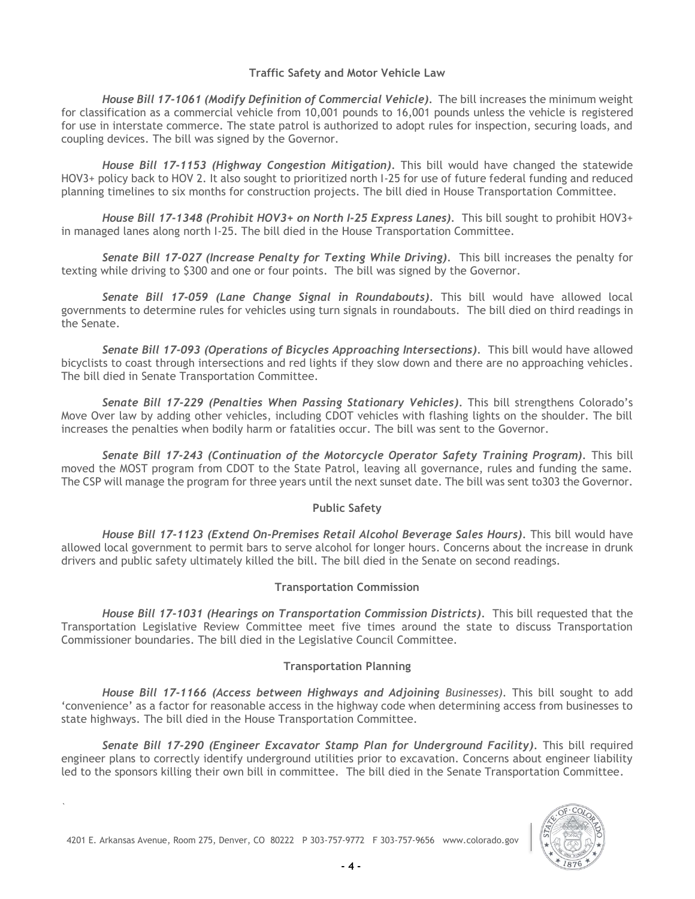## **Traffic Safety and Motor Vehicle Law**

<span id="page-3-0"></span>*House Bill 17-1061 (Modify Definition of Commercial Vehicle).* The bill increases the minimum weight for classification as a commercial vehicle from 10,001 pounds to 16,001 pounds unless the vehicle is registered for use in interstate commerce. The state patrol is authorized to adopt rules for inspection, securing loads, and coupling devices. The bill was signed by the Governor.

*House Bill 17-1153 (Highway Congestion Mitigation).* This bill would have changed the statewide HOV3+ policy back to HOV 2. It also sought to prioritized north I-25 for use of future federal funding and reduced planning timelines to six months for construction projects. The bill died in House Transportation Committee.

*House Bill 17-1348 (Prohibit HOV3+ on North I-25 Express Lanes).* This bill sought to prohibit HOV3+ in managed lanes along north I-25. The bill died in the House Transportation Committee.

*Senate Bill 17-027 (Increase Penalty for Texting While Driving).* This bill increases the penalty for texting while driving to \$300 and one or four points. The bill was signed by the Governor.

*Senate Bill 17-059 (Lane Change Signal in Roundabouts).* This bill would have allowed local governments to determine rules for vehicles using turn signals in roundabouts. The bill died on third readings in the Senate.

*Senate Bill 17-093 (Operations of Bicycles Approaching Intersections).* This bill would have allowed bicyclists to coast through intersections and red lights if they slow down and there are no approaching vehicles. The bill died in Senate Transportation Committee.

*Senate Bill 17-229 (Penalties When Passing Stationary Vehicles).* This bill strengthens Colorado's Move Over law by adding other vehicles, including CDOT vehicles with flashing lights on the shoulder. The bill increases the penalties when bodily harm or fatalities occur. The bill was sent to the Governor.

*Senate Bill 17-243 (Continuation of the Motorcycle Operator Safety Training Program).* This bill moved the MOST program from CDOT to the State Patrol, leaving all governance, rules and funding the same. The CSP will manage the program for three years until the next sunset date. The bill was sent to303 the Governor.

# **Public Safety**

<span id="page-3-1"></span>*House Bill 17-1123 (Extend On-Premises Retail Alcohol Beverage Sales Hours).* This bill would have allowed local government to permit bars to serve alcohol for longer hours. Concerns about the increase in drunk drivers and public safety ultimately killed the bill. The bill died in the Senate on second readings.

# **Transportation Commission**

<span id="page-3-2"></span>*House Bill 17-1031 (Hearings on Transportation Commission Districts).* This bill requested that the Transportation Legislative Review Committee meet five times around the state to discuss Transportation Commissioner boundaries. The bill died in the Legislative Council Committee.

## **Transportation Planning**

<span id="page-3-3"></span>*House Bill 17-1166 (Access between Highways and Adjoining Businesses).* This bill sought to add 'convenience' as a factor for reasonable access in the highway code when determining access from businesses to state highways. The bill died in the House Transportation Committee.

Senate Bill 17-290 (Engineer Excavator Stamp Plan for Underground Facility). This bill required engineer plans to correctly identify underground utilities prior to excavation. Concerns about engineer liability led to the sponsors killing their own bill in committee. The bill died in the Senate Transportation Committee.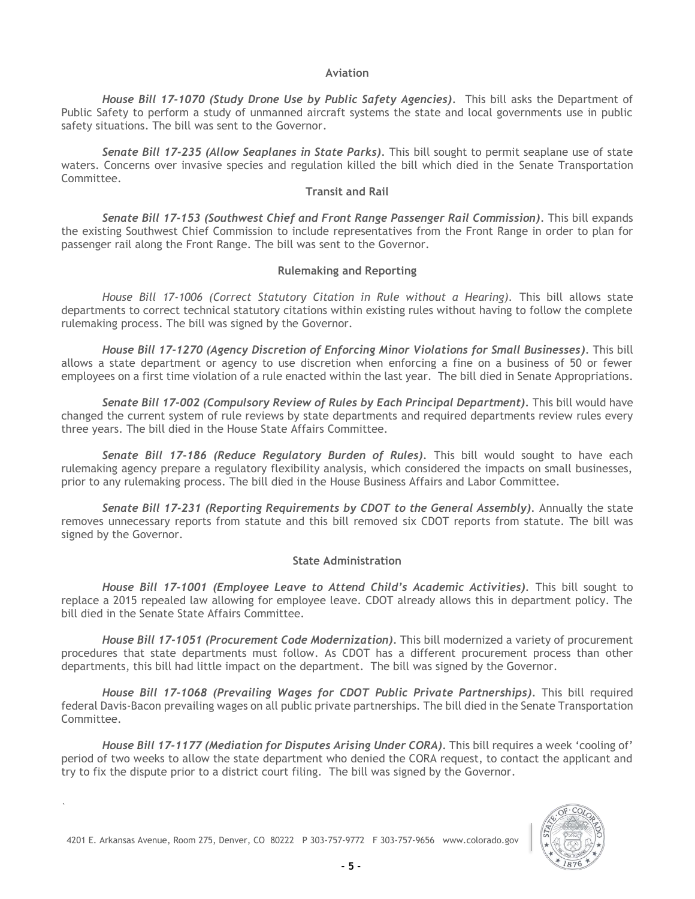#### **Aviation**

<span id="page-4-0"></span>*House Bill 17-1070 (Study Drone Use by Public Safety Agencies).* This bill asks the Department of Public Safety to perform a study of unmanned aircraft systems the state and local governments use in public safety situations. The bill was sent to the Governor.

*Senate Bill 17-235 (Allow Seaplanes in State Parks).* This bill sought to permit seaplane use of state waters. Concerns over invasive species and regulation killed the bill which died in the Senate Transportation Committee.

## **Transit and Rail**

<span id="page-4-1"></span>*Senate Bill 17-153 (Southwest Chief and Front Range Passenger Rail Commission).* This bill expands the existing Southwest Chief Commission to include representatives from the Front Range in order to plan for passenger rail along the Front Range. The bill was sent to the Governor.

## **Rulemaking and Reporting**

<span id="page-4-2"></span>House Bill 17-1006 (Correct Statutory Citation in Rule without a Hearing). This bill allows state departments to correct technical statutory citations within existing rules without having to follow the complete rulemaking process. The bill was signed by the Governor.

*House Bill 17-1270 (Agency Discretion of Enforcing Minor Violations for Small Businesses).* This bill allows a state department or agency to use discretion when enforcing a fine on a business of 50 or fewer employees on a first time violation of a rule enacted within the last year. The bill died in Senate Appropriations.

*Senate Bill 17-002 (Compulsory Review of Rules by Each Principal Department).* This bill would have changed the current system of rule reviews by state departments and required departments review rules every three years. The bill died in the House State Affairs Committee.

*Senate Bill 17-186 (Reduce Regulatory Burden of Rules).* This bill would sought to have each rulemaking agency prepare a regulatory flexibility analysis, which considered the impacts on small businesses, prior to any rulemaking process. The bill died in the House Business Affairs and Labor Committee.

*Senate Bill 17-231 (Reporting Requirements by CDOT to the General Assembly).* Annually the state removes unnecessary reports from statute and this bill removed six CDOT reports from statute. The bill was signed by the Governor.

## **State Administration**

<span id="page-4-3"></span>*House Bill 17-1001 (Employee Leave to Attend Child's Academic Activities).* This bill sought to replace a 2015 repealed law allowing for employee leave. CDOT already allows this in department policy. The bill died in the Senate State Affairs Committee.

*House Bill 17-1051 (Procurement Code Modernization).* This bill modernized a variety of procurement procedures that state departments must follow. As CDOT has a different procurement process than other departments, this bill had little impact on the department. The bill was signed by the Governor.

House Bill 17-1068 (Prevailing Wages for CDOT Public Private Partnerships). This bill required federal Davis-Bacon prevailing wages on all public private partnerships. The bill died in the Senate Transportation Committee.

House Bill 17-1177 (Mediation for Disputes Arising Under CORA). This bill requires a week 'cooling of' period of two weeks to allow the state department who denied the CORA request, to contact the applicant and try to fix the dispute prior to a district court filing. The bill was signed by the Governor.